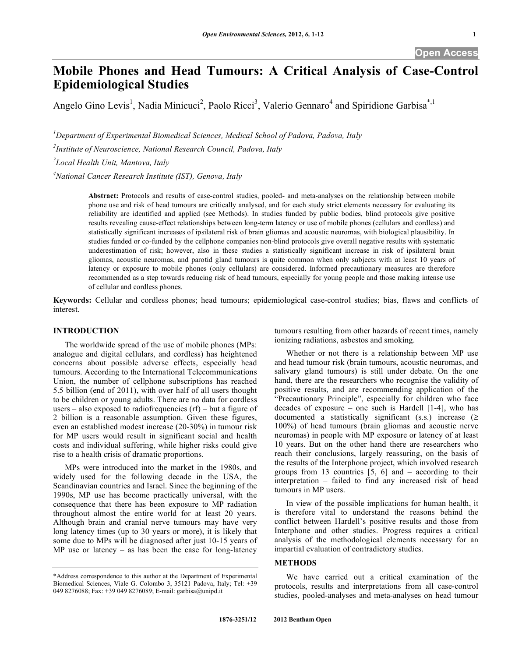# **Mobile Phones and Head Tumours: A Critical Analysis of Case-Control Epidemiological Studies**

Angelo Gino Levis<sup>1</sup>, Nadia Minicuci<sup>2</sup>, Paolo Ricci<sup>3</sup>, Valerio Gennaro<sup>4</sup> and Spiridione Garbisa<sup>\*,1</sup>

*1 Department of Experimental Biomedical Sciences, Medical School of Padova, Padova, Italy* 

*2 Institute of Neuroscience, National Research Council, Padova, Italy* 

*3 Local Health Unit, Mantova, Italy* 

*4 National Cancer Research Institute (IST), Genova, Italy* 

**Abstract:** Protocols and results of case-control studies, pooled- and meta-analyses on the relationship between mobile phone use and risk of head tumours are critically analysed, and for each study strict elements necessary for evaluating its reliability are identified and applied (see Methods). In studies funded by public bodies, blind protocols give positive results revealing cause-effect relationships between long-term latency or use of mobile phones (cellulars and cordless) and statistically significant increases of ipsilateral risk of brain gliomas and acoustic neuromas, with biological plausibility. In studies funded or co-funded by the cellphone companies non-blind protocols give overall negative results with systematic underestimation of risk; however, also in these studies a statistically significant increase in risk of ipsilateral brain gliomas, acoustic neuromas, and parotid gland tumours is quite common when only subjects with at least 10 years of latency or exposure to mobile phones (only cellulars) are considered. Informed precautionary measures are therefore recommended as a step towards reducing risk of head tumours, especially for young people and those making intense use of cellular and cordless phones.

**Keywords:** Cellular and cordless phones; head tumours; epidemiological case-control studies; bias, flaws and conflicts of interest.

#### **INTRODUCTION**

 The worldwide spread of the use of mobile phones (MPs: analogue and digital cellulars, and cordless) has heightened concerns about possible adverse effects, especially head tumours. According to the International Telecommunications Union, the number of cellphone subscriptions has reached 5.5 billion (end of 2011), with over half of all users thought to be children or young adults. There are no data for cordless users – also exposed to radiofrequencies  $(rf)$  – but a figure of 2 billion is a reasonable assumption. Given these figures, even an established modest increase (20-30%) in tumour risk for MP users would result in significant social and health costs and individual suffering, while higher risks could give rise to a health crisis of dramatic proportions.

 MPs were introduced into the market in the 1980s, and widely used for the following decade in the USA, the Scandinavian countries and Israel. Since the beginning of the 1990s, MP use has become practically universal, with the consequence that there has been exposure to MP radiation throughout almost the entire world for at least 20 years. Although brain and cranial nerve tumours may have very long latency times (up to 30 years or more), it is likely that some due to MPs will be diagnosed after just 10-15 years of MP use or latency – as has been the case for long-latency

tumours resulting from other hazards of recent times, namely ionizing radiations, asbestos and smoking.

 Whether or not there is a relationship between MP use and head tumour risk (brain tumours, acoustic neuromas, and salivary gland tumours) is still under debate. On the one hand, there are the researchers who recognise the validity of positive results, and are recommending application of the "Precautionary Principle", especially for children who face decades of exposure – one such is Hardell [1-4], who has documented a statistically significant (s.s.) increase  $( \geq$ 100%) of head tumours (brain gliomas and acoustic nerve neuromas) in people with MP exposure or latency of at least 10 years. But on the other hand there are researchers who reach their conclusions, largely reassuring, on the basis of the results of the Interphone project, which involved research groups from 13 countries  $[5, 6]$  and – according to their interpretation – failed to find any increased risk of head tumours in MP users.

 In view of the possible implications for human health, it is therefore vital to understand the reasons behind the conflict between Hardell's positive results and those from Interphone and other studies. Progress requires a critical analysis of the methodological elements necessary for an impartial evaluation of contradictory studies.

# **METHODS**

 We have carried out a critical examination of the protocols, results and interpretations from all case-control studies, pooled-analyses and meta-analyses on head tumour

<sup>\*</sup>Address correspondence to this author at the Department of Experimental Biomedical Sciences, Viale G. Colombo 3, 35121 Padova, Italy; Tel: +39 049 8276088; Fax: +39 049 8276089; E-mail: garbisa@unipd.it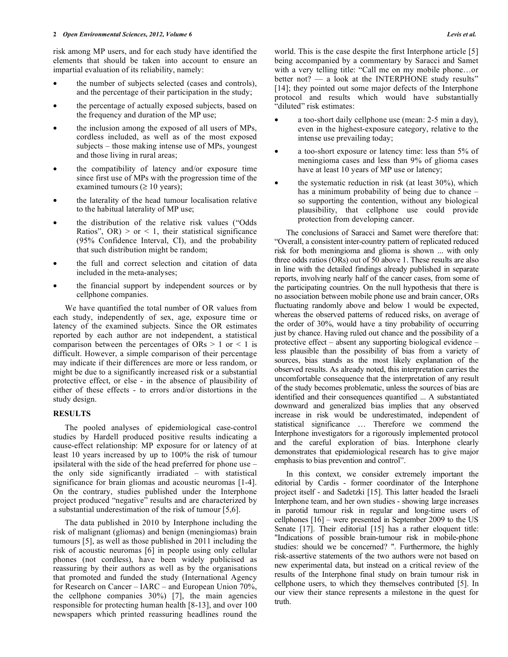risk among MP users, and for each study have identified the elements that should be taken into account to ensure an impartial evaluation of its reliability, namely:

- the number of subjects selected (cases and controls), and the percentage of their participation in the study;
- the percentage of actually exposed subjects, based on the frequency and duration of the MP use;
- the inclusion among the exposed of all users of MPs, cordless included, as well as of the most exposed subjects – those making intense use of MPs, youngest and those living in rural areas;
- the compatibility of latency and/or exposure time since first use of MPs with the progression time of the examined tumours  $( \geq 10 \text{ years});$
- the laterality of the head tumour localisation relative to the habitual laterality of MP use;
- the distribution of the relative risk values ("Odds Ratios",  $OR$ ) > or < 1, their statistical significance (95% Confidence Interval, CI), and the probability that such distribution might be random;
- the full and correct selection and citation of data included in the meta-analyses;
- the financial support by independent sources or by cellphone companies.

 We have quantified the total number of OR values from each study, independently of sex, age, exposure time or latency of the examined subjects. Since the OR estimates reported by each author are not independent, a statistical comparison between the percentages of  $ORs > 1$  or  $\leq 1$  is difficult. However, a simple comparison of their percentage may indicate if their differences are more or less random, or might be due to a significantly increased risk or a substantial protective effect, or else - in the absence of plausibility of either of these effects - to errors and/or distortions in the study design.

# **RESULTS**

 The pooled analyses of epidemiological case-control studies by Hardell produced positive results indicating a cause-effect relationship: MP exposure for or latency of at least 10 years increased by up to 100% the risk of tumour ipsilateral with the side of the head preferred for phone use – the only side significantly irradiated – with statistical significance for brain gliomas and acoustic neuromas [1-4]. On the contrary, studies published under the Interphone project produced "negative" results and are characterized by a substantial underestimation of the risk of tumour [5,6].

 The data published in 2010 by Interphone including the risk of malignant (gliomas) and benign (meningiomas) brain tumours [5], as well as those published in 2011 including the risk of acoustic neuromas [6] in people using only cellular phones (not cordless), have been widely publicised as reassuring by their authors as well as by the organisations that promoted and funded the study (International Agency for Research on Cancer – IARC – and European Union 70%, the cellphone companies 30%) [7], the main agencies responsible for protecting human health [8-13], and over 100 newspapers which printed reassuring headlines round the

world. This is the case despite the first Interphone article [5] being accompanied by a commentary by Saracci and Samet with a very telling title: "Call me on my mobile phone…or better not? — a look at the INTERPHONE study results" [14]; they pointed out some major defects of the Interphone protocol and results which would have substantially 'diluted" risk estimates:

- a too-short daily cellphone use (mean: 2-5 min a day), even in the highest-exposure category, relative to the intense use prevailing today;
- a too-short exposure or latency time: less than 5% of meningioma cases and less than 9% of glioma cases have at least 10 years of MP use or latency;
- the systematic reduction in risk (at least  $30\%$ ), which has a minimum probability of being due to chance – so supporting the contention, without any biological plausibility, that cellphone use could provide protection from developing cancer.

 The conclusions of Saracci and Samet were therefore that: "Overall, a consistent inter-country pattern of replicated reduced risk for both meningioma and glioma is shown ... with only three odds ratios (ORs) out of 50 above 1. These results are also in line with the detailed findings already published in separate reports, involving nearly half of the cancer cases, from some of the participating countries. On the null hypothesis that there is no association between mobile phone use and brain cancer, ORs fluctuating randomly above and below 1 would be expected, whereas the observed patterns of reduced risks, on average of the order of 30%, would have a tiny probability of occurring just by chance. Having ruled out chance and the possibility of a protective effect – absent any supporting biological evidence – less plausible than the possibility of bias from a variety of sources, bias stands as the most likely explanation of the observed results. As already noted, this interpretation carries the uncomfortable consequence that the interpretation of any result of the study becomes problematic, unless the sources of bias are identified and their consequences quantified ... A substantiated downward and generalized bias implies that any observed increase in risk would be underestimated, independent of statistical significance … Therefore we commend the Interphone investigators for a rigorously implemented protocol and the careful exploration of bias. Interphone clearly demonstrates that epidemiological research has to give major emphasis to bias prevention and control".

 In this context, we consider extremely important the editorial by Cardis - former coordinator of the Interphone project itself - and Sadetzki [15]. This latter headed the Israeli Interphone team, and her own studies - showing large increases in parotid tumour risk in regular and long-time users of cellphones [16] – were presented in September 2009 to the US Senate [17]. Their editorial [15] has a rather eloquent title: "Indications of possible brain-tumour risk in mobile-phone studies: should we be concerned? ". Furthermore, the highly risk-assertive statements of the two authors were not based on new experimental data, but instead on a critical review of the results of the Interphone final study on brain tumour risk in cellphone users, to which they themselves contributed [5]. In our view their stance represents a milestone in the quest for truth.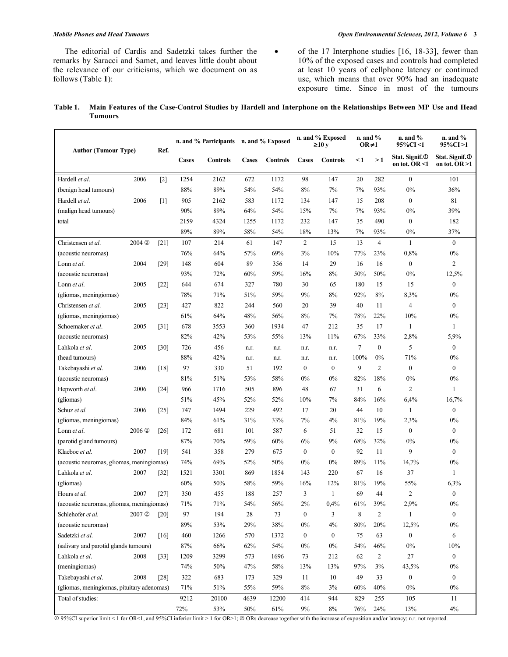The editorial of Cardis and Sadetzki takes further the remarks by Saracci and Samet, and leaves little doubt about the relevance of our criticisms, which we document on as follows (Table **1**):

• of the 17 Interphone studies [16, 18-33], fewer than 10% of the exposed cases and controls had completed at least 10 years of cellphone latency or continued use, which means that over 90% had an inadequate exposure time. Since in most of the tumours

#### **Table 1. Main Features of the Case-Control Studies by Hardell and Interphone on the Relationships Between MP Use and Head Tumours**

| <b>Author (Tumour Type)</b>                |                       |                    | n. and % Participants n. and % Exposed |                 |              |                 | n. and % Exposed<br>$\geq 10y$ |                  | $n.$ and $%$<br>$OR \neq 1$ |                | $n.$ and $%$<br>95%CI <1                          | $n.$ and $%$<br>95%CI>1                        |
|--------------------------------------------|-----------------------|--------------------|----------------------------------------|-----------------|--------------|-----------------|--------------------------------|------------------|-----------------------------|----------------|---------------------------------------------------|------------------------------------------------|
|                                            |                       | Ref.               | <b>Cases</b>                           | <b>Controls</b> | <b>Cases</b> | <b>Controls</b> | <b>Cases</b>                   | <b>Controls</b>  | <1                          | >1             | Stat. Signif. <sup>O</sup><br>on tot. OR $\leq 1$ | Stat. Signif. <sup>O</sup><br>on tot. $OR > 1$ |
| Hardell et al.                             | 2006                  | $[2]$              | 1254                                   | 2162            | 672          | 1172            | 98                             | 147              | 20                          | 282            | $\mathbf{0}$                                      | 101                                            |
| (benign head tumours)                      |                       |                    | 88%                                    | 89%             | 54%          | 54%             | 8%                             | 7%               | 7%                          | 93%            | 0%                                                | 36%                                            |
| Hardell et al.                             | 2006                  | $\lceil 1 \rceil$  | 905                                    | 2162            | 583          | 1172            | 134                            | 147              | 15                          | 208            | $\mathbf{0}$                                      | 81                                             |
| (malign head tumours)                      |                       |                    | 90%                                    | 89%             | 64%          | 54%             | 15%                            | 7%               | 7%                          | 93%            | 0%                                                | 39%                                            |
| total                                      |                       |                    | 2159                                   | 4324            | 1255         | 1172            | 232                            | 147              | 35                          | 490            | $\mathbf{0}$                                      | 182                                            |
|                                            |                       |                    | 89%                                    | 89%             | 58%          | 54%             | 18%                            | 13%              | 7%                          | 93%            | 0%                                                | 37%                                            |
| Christensen et al.                         | 2004 <sub>©</sub>     | $[21]$             | 107                                    | 214             | 61           | 147             | 2                              | 15               | 13                          | $\overline{4}$ | $\mathbf{1}$                                      | $\mathbf{0}$                                   |
| (acoustic neuromas)                        |                       |                    | 76%                                    | 64%             | 57%          | 69%             | 3%                             | 10%              | 77%                         | 23%            | 0,8%                                              | 0%                                             |
| Lonn et al.                                | 2004                  | [29]               | 148                                    | 604             | 89           | 356             | 14                             | 29               | 16                          | 16             | $\mathbf{0}$                                      | $\overline{c}$                                 |
| (acoustic neuromas)                        |                       |                    | 93%                                    | 72%             | 60%          | 59%             | 16%                            | 8%               | 50%                         | 50%            | 0%                                                | 12,5%                                          |
| Lonn et al.                                | 2005                  | $[22]$             | 644                                    | 674             | 327          | 780             | 30                             | 65               | 180                         | 15             | 15                                                | $\boldsymbol{0}$                               |
| (gliomas, meningiomas)                     |                       |                    | 78%                                    | 71%             | 51%          | 59%             | 9%                             | 8%               | 92%                         | 8%             | 8,3%                                              | 0%                                             |
| Christensen et al.                         | 2005                  | [23]               | 427                                    | 822             | 244          | 560             | 20                             | 39               | 40                          | 11             | $\overline{4}$                                    | $\mathbf{0}$                                   |
| (gliomas, meningiomas)                     |                       |                    | 61%                                    | 64%             | 48%          | 56%             | 8%                             | 7%               | 78%                         | 22%            | 10%                                               | 0%                                             |
| Schoemaker et al.                          | 2005                  | $\lceil 31 \rceil$ | 678                                    | 3553            | 360          | 1934            | 47                             | 212              | 35                          | 17             | $\mathbf{1}$                                      | 1                                              |
| (acoustic neuromas)                        |                       |                    | 82%                                    | 42%             | 53%          | 55%             | 13%                            | 11%              | 67%                         | 33%            | 2,8%                                              | 5,9%                                           |
| Lahkola et al.                             | 2005                  | $[30]$             | 726                                    | 456             | n.r.         | n.r.            | n.r.                           | n.r.             | $\tau$                      | $\mathbf{0}$   | 5                                                 | $\mathbf{0}$                                   |
| (head tumours)                             |                       |                    | 88%                                    | 42%             | n.r.         | n.r.            | n.r.                           | n.r.             | 100%                        | 0%             | 71%                                               | 0%                                             |
| Takebayashi et al.                         | 2006                  | [18]               | 97                                     | 330             | 51           | 192             | $\mathbf{0}$                   | $\mathbf{0}$     | 9                           | $\overline{2}$ | $\mathbf{0}$                                      | $\mathbf{0}$                                   |
| (acoustic neuromas)                        |                       |                    | 81%                                    | 51%             | 53%          | 58%             | 0%                             | $0\%$            | 82%                         | 18%            | 0%                                                | 0%                                             |
| Hepworth et al.                            | 2006                  | $[24]$             | 966                                    | 1716            | 505          | 896             | 48                             | 67               | 31                          | 6              | $\overline{c}$                                    | 1                                              |
| (gliomas)                                  |                       |                    | 51%                                    | 45%             | 52%          | 52%             | 10%                            | 7%               | 84%                         | 16%            | 6,4%                                              | 16,7%                                          |
| Schuz et al.                               | 2006                  | [25]               | 747                                    | 1494            | 229          | 492             | 17                             | 20               | 44                          | 10             | $\mathbf{1}$                                      | $\mathbf{0}$                                   |
| (gliomas, meningiomas)                     |                       |                    | 84%                                    | 61%             | 31%          | 33%             | 7%                             | 4%               | 81%                         | 19%            | 2,3%                                              | $0\%$                                          |
| Lonn et al.                                | $2006$ $\circledcirc$ | [26]               | 172                                    | 681             | 101          | 587             | 6                              | 51               | 32                          | 15             | $\mathbf{0}$                                      | $\mathbf{0}$                                   |
| (parotid gland tumours)                    |                       |                    | 87%                                    | 70%             | 59%          | 60%             | 6%                             | 9%               | 68%                         | 32%            | 0%                                                | $0\%$                                          |
| Klaeboe et al.                             | 2007                  | [19]               | 541                                    | 358             | 279          | 675             | $\mathbf{0}$                   | $\mathbf{0}$     | 92                          | 11             | 9                                                 | $\mathbf{0}$                                   |
| (acoustic neuromas, gliomas, meningiomas)  |                       |                    | 74%                                    | 69%             | 52%          | 50%             | 0%                             | 0%               | 89%                         | 11%            | 14,7%                                             | 0%                                             |
| Lahkola et al.                             | 2007                  | $[32]$             | 1521                                   | 3301            | 869          | 1854            | 143                            | 220              | 67                          | 16             | 37                                                | 1                                              |
| (gliomas)                                  |                       |                    | 60%                                    | 50%             | 58%          | 59%             | 16%                            | 12%              | 81%                         | 19%            | 55%                                               | 6,3%                                           |
| Hours et al.                               | 2007                  | $[27]$             | 350                                    | 455             | 188          | 257             | 3                              | 1                | 69                          | 44             | $\overline{c}$                                    | $\boldsymbol{0}$                               |
| (acoustic neuromas, gliomas, meningiomas)  |                       |                    | 71%                                    | 71%             | 54%          | 56%             | $2\%$                          | 0,4%             | 61%                         | 39%            | 2,9%                                              | $0\%$                                          |
| Schlehofer et al.                          | 2007 <sup>©</sup>     | [20]               | 97                                     | 194             | 28           | 73              | $\boldsymbol{0}$               | 3                | $\,$ 8 $\,$                 | $\overline{c}$ | 1                                                 | $\boldsymbol{0}$                               |
| (acoustic neuromas)                        |                       |                    | 89%                                    | 53%             | 29%          | 38%             | $0\%$                          | 4%               | $80\%$                      | 20%            | 12,5%                                             | $0\%$                                          |
| Sadetzki et al.                            | 2007                  | [16]               | 460                                    | 1266            | 570          | 1372            | $\boldsymbol{0}$               | $\boldsymbol{0}$ | 75                          | 63             | $\boldsymbol{0}$                                  | 6                                              |
| (salivary and parotid glands tumours)      |                       |                    | 87%                                    | $66\%$          | 62%          | 54%             | $0\%$                          | $0\%$            | 54%                         | 46%            | $0\%$                                             | 10%                                            |
| Lahkola et al.                             | 2008                  | $[33]$             | 1209                                   | 3299            | 573          | 1696            | 73                             | 212              | 62                          | $\overline{c}$ | $27\,$                                            | $\boldsymbol{0}$                               |
| (meningiomas)                              |                       |                    | 74%                                    | 50%             | 47%          | 58%             | 13%                            | 13%              | 97%                         | 3%             | 43,5%                                             | $0\%$                                          |
| Takebayashi et al.                         | 2008                  | $[28]$             | 322                                    | 683             | 173          | 329             | 11                             | 10               | 49                          | 33             | $\boldsymbol{0}$                                  | $\mathbf{0}$                                   |
| (gliomas, meningiomas, pituitary adenomas) |                       |                    | 71%                                    | 51%             | 55%          | 59%             | 8%                             | $3\%$            | 60%                         | 40%            | $0\%$                                             | $0\%$                                          |
| Total of studies:                          |                       |                    | 9212                                   | 20100           | 4639         | 12200           | 414                            | 944              | 829                         | 255            | 105                                               | 11                                             |
|                                            |                       |                    | 72%                                    | 53%             | 50%          | 61%             | $9\%$                          | $8\%$            | 76%                         | 24%            | 13%                                               | $4\%$                                          |

95%CI superior limit < 1 for OR<1, and 95%CI inferior limit > 1 for OR>1; 2 ORs decrease together with the increase of exposition and/or latency; n.r. not reported.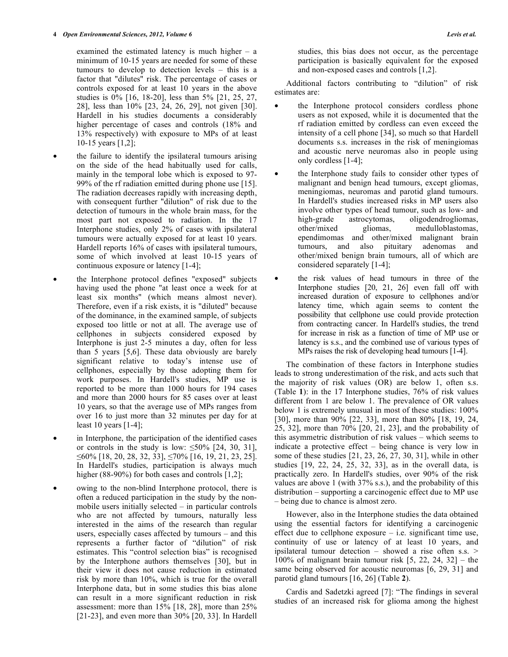examined the estimated latency is much higher – a minimum of 10-15 years are needed for some of these tumours to develop to detection levels – this is a factor that "dilutes" risk. The percentage of cases or controls exposed for at least 10 years in the above studies is 0% [16, 18-20], less than 5% [21, 25, 27, 28], less than 10% [23, 24, 26, 29], not given [30]. Hardell in his studies documents a considerably higher percentage of cases and controls  $(18\%$  and 13% respectively) with exposure to MPs of at least 10-15 years [1,2];

- the failure to identify the ipsilateral tumours arising on the side of the head habitually used for calls, mainly in the temporal lobe which is exposed to 97- 99% of the rf radiation emitted during phone use [15]. The radiation decreases rapidly with increasing depth, with consequent further "dilution" of risk due to the detection of tumours in the whole brain mass, for the most part not exposed to radiation. In the 17 Interphone studies, only 2% of cases with ipsilateral tumours were actually exposed for at least 10 years. Hardell reports 16% of cases with ipsilateral tumours, some of which involved at least 10-15 years of continuous exposure or latency [1-4];
- the Interphone protocol defines "exposed" subjects having used the phone "at least once a week for at least six months" (which means almost never). Therefore, even if a risk exists, it is "diluted" because of the dominance, in the examined sample, of subjects exposed too little or not at all. The average use of cellphones in subjects considered exposed by Interphone is just 2-5 minutes a day, often for less than 5 years [5,6]. These data obviously are barely significant relative to today's intense use of cellphones, especially by those adopting them for work purposes. In Hardell's studies, MP use is reported to be more than 1000 hours for 194 cases and more than 2000 hours for 85 cases over at least 10 years, so that the average use of MPs ranges from over 16 to just more than 32 minutes per day for at least 10 years [1-4];
- in Interphone, the participation of the identified cases or controls in the study is low:  $\leq 50\%$  [24, 30, 31],  $\leq 60\%$  [18, 20, 28, 32, 33],  $\leq 70\%$  [16, 19, 21, 23, 25]. In Hardell's studies, participation is always much higher (88-90%) for both cases and controls [1,2];
- owing to the non-blind Interphone protocol, there is often a reduced participation in the study by the nonmobile users initially selected – in particular controls who are not affected by tumours, naturally less interested in the aims of the research than regular users, especially cases affected by tumours – and this represents a further factor of "dilution" of risk estimates. This "control selection bias" is recognised by the Interphone authors themselves [30], but in their view it does not cause reduction in estimated risk by more than 10%, which is true for the overall Interphone data, but in some studies this bias alone can result in a more significant reduction in risk assessment: more than 15% [18, 28], more than 25% [21-23], and even more than 30% [20, 33]. In Hardell

studies, this bias does not occur, as the percentage participation is basically equivalent for the exposed and non-exposed cases and controls [1,2].

 Additional factors contributing to "dilution" of risk estimates are:

- the Interphone protocol considers cordless phone users as not exposed, while it is documented that the rf radiation emitted by cordless can even exceed the intensity of a cell phone [34], so much so that Hardell documents s.s. increases in the risk of meningiomas and acoustic nerve neuromas also in people using only cordless [1-4];
- the Interphone study fails to consider other types of malignant and benign head tumours, except gliomas, meningiomas, neuromas and parotid gland tumours. In Hardell's studies increased risks in MP users also involve other types of head tumour, such as low- and high-grade astrocytomas, oligodendrogliomas, other/mixed gliomas, medulloblastomas, ependimomas and other/mixed malignant brain tumours, and also pituitary adenomas and other/mixed benign brain tumours, all of which are considered separately [1-4];
- the risk values of head tumours in three of the Interphone studies [20, 21, 26] even fall off with increased duration of exposure to cellphones and/or latency time, which again seems to content the possibility that cellphone use could provide protection from contracting cancer. In Hardell's studies, the trend for increase in risk as a function of time of MP use or latency is s.s., and the combined use of various types of MPs raises the risk of developing head tumours [1-4].

 The combination of these factors in Interphone studies leads to strong underestimation of the risk, and acts such that the majority of risk values (OR) are below 1, often s.s. (Table **1**): in the 17 Interphone studies, 76% of risk values different from 1 are below 1. The prevalence of OR values below 1 is extremely unusual in most of these studies: 100% [30], more than 90% [22, 33], more than 80% [18, 19, 24, 25, 32], more than 70% [20, 21, 23], and the probability of this asymmetric distribution of risk values – which seems to indicate a protective effect – being chance is very low in some of these studies [21, 23, 26, 27, 30, 31], while in other studies [19, 22, 24, 25, 32, 33], as in the overall data, is practically zero. In Hardell's studies, over 90% of the risk values are above 1 (with 37% s.s.), and the probability of this distribution – supporting a carcinogenic effect due to MP use – being due to chance is almost zero.

 However, also in the Interphone studies the data obtained using the essential factors for identifying a carcinogenic effect due to cellphone exposure – i.e. significant time use, continuity of use or latency of at least 10 years, and ipsilateral tumour detection – showed a rise often s.s. > 100% of malignant brain tumour risk  $[5, 22, 24, 32]$  – the same being observed for acoustic neuromas [6, 29, 31] and parotid gland tumours [16, 26] (Table **2**).

 Cardis and Sadetzki agreed [7]: "The findings in several studies of an increased risk for glioma among the highest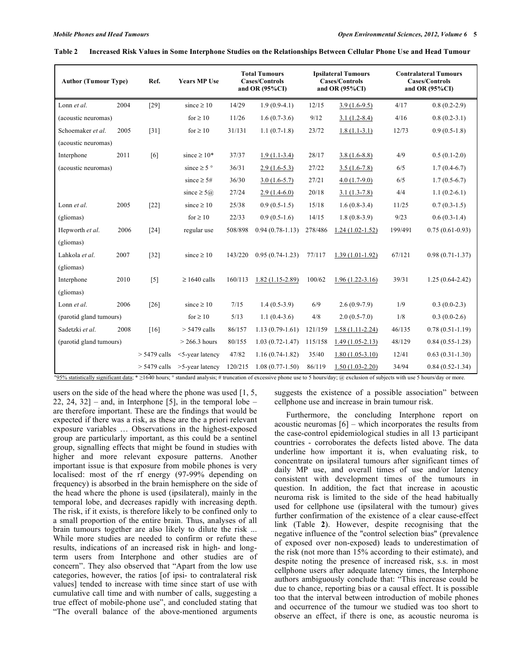#### **Table 2 Increased Risk Values in Some Interphone Studies on the Relationships Between Cellular Phone Use and Head Tumour**

| <b>Author (Tumour Type)</b> |      | Ref.           | <b>Years MP Use</b>  | <b>Total Tumours</b><br><b>Cases/Controls</b><br>and OR $(95\%CI)$ |                     | <b>Ipsilateral Tumours</b><br><b>Cases/Controls</b><br>and OR $(95\%CI)$ |                     | <b>Contralateral Tumours</b><br><b>Cases/Controls</b><br>and OR $(95\%CI)$ |                     |
|-----------------------------|------|----------------|----------------------|--------------------------------------------------------------------|---------------------|--------------------------------------------------------------------------|---------------------|----------------------------------------------------------------------------|---------------------|
| Lonn et al.                 | 2004 | $[29]$         | since $\geq 10$      | 14/29                                                              | $1.9(0.9-4.1)$      | 12/15                                                                    | $3.9(1.6-9.5)$      | 4/17                                                                       | $0.8(0.2-2.9)$      |
| (acoustic neuromas)         |      |                | for $\geq 10$        | 11/26                                                              | $1.6(0.7-3.6)$      | 9/12                                                                     | $3.1(1.2-8.4)$      | 4/16                                                                       | $0.8(0.2-3.1)$      |
| Schoemaker et al.           | 2005 | $[31]$         | for $\geq 10$        | 31/131                                                             | $1.1(0.7-1.8)$      | 23/72                                                                    | $1.8(1.1-3.1)$      | 12/73                                                                      | $0.9(0.5-1.8)$      |
| (acoustic neuromas)         |      |                |                      |                                                                    |                     |                                                                          |                     |                                                                            |                     |
| Interphone                  | 2011 | [6]            | since $\geq 10^*$    | 37/37                                                              | $1.9(1.1-3.4)$      | 28/17                                                                    | $3.8(1.6-8.8)$      | 4/9                                                                        | $0.5(0.1-2.0)$      |
| (acoustic neuromas)         |      |                | since $\geq 5$ °     | 36/31                                                              | $2.9(1.6-5.3)$      | 27/22                                                                    | $3.5(1.6-7.8)$      | 6/5                                                                        | $1.7(0.4-6.7)$      |
|                             |      |                | since $\geq 5#$      | 36/30                                                              | $3.0(1.6-5.7)$      | 27/21                                                                    | $4.0(1.7-9.0)$      | 6/5                                                                        | $1.7(0.5-6.7)$      |
|                             |      |                | since $\geq 5\omega$ | 27/24                                                              | $2.9(1.4-6.0)$      | 20/18                                                                    | $3.1(1.3-7.8)$      | 4/4                                                                        | $1.1(0.2-6.1)$      |
| Lonn et al.                 | 2005 | $[22]$         | since $\geq 10$      | 25/38                                                              | $0.9(0.5-1.5)$      | 15/18                                                                    | $1.6(0.8-3.4)$      | 11/25                                                                      | $0.7(0.3-1.5)$      |
| (gliomas)                   |      |                | for $\geq 10$        | 22/33                                                              | $0.9(0.5-1.6)$      | 14/15                                                                    | $1.8(0.8-3.9)$      | 9/23                                                                       | $0.6(0.3-1.4)$      |
| Hepworth et al.             | 2006 | $[24]$         | regular use          | 508/898                                                            | $0.94(0.78-1.13)$   | 278/486                                                                  | $1.24(1.02-1.52)$   | 199/491                                                                    | $0.75(0.61-0.93)$   |
| (gliomas)                   |      |                |                      |                                                                    |                     |                                                                          |                     |                                                                            |                     |
| Lahkola et al.              | 2007 | $[32]$         | since $\geq 10$      | 143/220                                                            | $0.95(0.74-1.23)$   | 77/117                                                                   | $1.39(1.01-1.92)$   | 67/121                                                                     | $0.98(0.71 - 1.37)$ |
| (gliomas)                   |      |                |                      |                                                                    |                     |                                                                          |                     |                                                                            |                     |
| Interphone                  | 2010 | $[5]$          | $\geq 1640$ calls    | 160/113                                                            | $1.82(1.15-2.89)$   | 100/62                                                                   | $1.96(1.22 - 3.16)$ | 39/31                                                                      | $1.25(0.64 - 2.42)$ |
| (gliomas)                   |      |                |                      |                                                                    |                     |                                                                          |                     |                                                                            |                     |
| Lonn et al.                 | 2006 | $[26]$         | since $\geq 10$      | 7/15                                                               | $1.4(0.5-3.9)$      | 6/9                                                                      | $2.6(0.9-7.9)$      | 1/9                                                                        | $0.3(0.0-2.3)$      |
| (parotid gland tumours)     |      |                | for $\geq 10$        | 5/13                                                               | $1.1(0.4-3.6)$      | 4/8                                                                      | $2.0(0.5-7.0)$      | 1/8                                                                        | $0.3(0.0-2.6)$      |
| Sadetzki et al.             | 2008 | [16]           | $> 5479$ calls       | 86/157                                                             | $1.13(0.79-1.61)$   | 121/159                                                                  | $1.58(1.11-2.24)$   | 46/135                                                                     | $0.78(0.51-1.19)$   |
| (parotid gland tumours)     |      |                | $> 266.3$ hours      | 80/155                                                             | $1.03(0.72 - 1.47)$ | 115/158                                                                  | $1.49(1.05-2.13)$   | 48/129                                                                     | $0.84(0.55-1.28)$   |
|                             |      | $> 5479$ calls | <5-year latency      | 47/82                                                              | $1.16(0.74-1.82)$   | 35/40                                                                    | $1.80(1.05-3.10)$   | 12/41                                                                      | $0.63(0.31-1.30)$   |
|                             |      | $> 5479$ calls | $>5$ -year latency   | 120/215                                                            | $1.08(0.77-1.50)$   | 86/119                                                                   | $1.50(1.03-2.20)$   | 34/94                                                                      | $0.84(0.52 - 1.34)$ |

"95% statistically significant data;  $* \ge 1640$  hours;  $\circ$  standard analysis; # truncation of excessive phone use to 5 hours/day; @ exclusion of subjects with use 5 hours/day or more.

users on the side of the head where the phone was used [1, 5, 22, 24, 32] – and, in Interphone [5], in the temporal lobe – are therefore important. These are the findings that would be expected if there was a risk, as these are the a priori relevant exposure variables … Observations in the highest-exposed group are particularly important, as this could be a sentinel group, signalling effects that might be found in studies with higher and more relevant exposure patterns. Another important issue is that exposure from mobile phones is very localised: most of the rf energy (97-99% depending on frequency) is absorbed in the brain hemisphere on the side of the head where the phone is used (ipsilateral), mainly in the temporal lobe, and decreases rapidly with increasing depth. The risk, if it exists, is therefore likely to be confined only to a small proportion of the entire brain. Thus, analyses of all brain tumours together are also likely to dilute the risk ... While more studies are needed to confirm or refute these results, indications of an increased risk in high- and longterm users from Interphone and other studies are of concern". They also observed that "Apart from the low use categories, however, the ratios [of ipsi- to contralateral risk values] tended to increase with time since start of use with cumulative call time and with number of calls, suggesting a true effect of mobile-phone use", and concluded stating that "The overall balance of the above-mentioned arguments

suggests the existence of a possible association" between cellphone use and increase in brain tumour risk.

 Furthermore, the concluding Interphone report on acoustic neuromas [6] – which incorporates the results from the case-control epidemiological studies in all 13 participant countries - corroborates the defects listed above. The data underline how important it is, when evaluating risk, to concentrate on ipsilateral tumours after significant times of daily MP use, and overall times of use and/or latency consistent with development times of the tumours in question. In addition, the fact that increase in acoustic neuroma risk is limited to the side of the head habitually used for cellphone use (ipsilateral with the tumour) gives further confirmation of the existence of a clear cause-effect link (Table **2**). However, despite recognising that the negative influence of the "control selection bias" (prevalence of exposed over non-exposed) leads to underestimation of the risk (not more than 15% according to their estimate), and despite noting the presence of increased risk, s.s. in most cellphone users after adequate latency times, the Interphone authors ambiguously conclude that: "This increase could be due to chance, reporting bias or a causal effect. It is possible too that the interval between introduction of mobile phones and occurrence of the tumour we studied was too short to observe an effect, if there is one, as acoustic neuroma is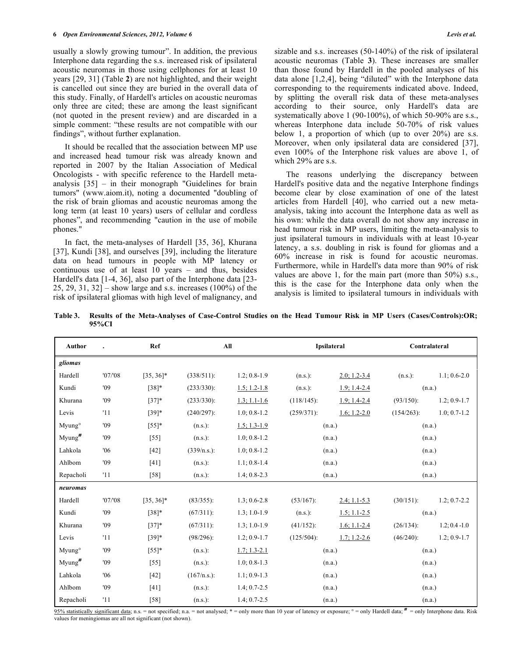usually a slowly growing tumour". In addition, the previous Interphone data regarding the s.s. increased risk of ipsilateral acoustic neuromas in those using cellphones for at least 10 years [29, 31] (Table **2**) are not highlighted, and their weight is cancelled out since they are buried in the overall data of this study. Finally, of Hardell's articles on acoustic neuromas only three are cited; these are among the least significant (not quoted in the present review) and are discarded in a simple comment: "these results are not compatible with our findings", without further explanation.

 It should be recalled that the association between MP use and increased head tumour risk was already known and reported in 2007 by the Italian Association of Medical Oncologists - with specific reference to the Hardell metaanalysis [35] – in their monograph "Guidelines for brain tumors" (www.aiom.it), noting a documented "doubling of the risk of brain gliomas and acoustic neuromas among the long term (at least 10 years) users of cellular and cordless phones", and recommending "caution in the use of mobile phones."

 In fact, the meta-analyses of Hardell [35, 36], Khurana [37], Kundi [38], and ourselves [39], including the literature data on head tumours in people with MP latency or continuous use of at least 10 years – and thus, besides Hardell's data [1-4, 36], also part of the Interphone data [23- 25, 29, 31, 32 $\overline{$  – show large and s.s. increases (100%) of the risk of ipsilateral gliomas with high level of malignancy, and sizable and s.s. increases (50-140%) of the risk of ipsilateral acoustic neuromas (Table **3**). These increases are smaller than those found by Hardell in the pooled analyses of his data alone [1,2,4], being "diluted" with the Interphone data corresponding to the requirements indicated above. Indeed, by splitting the overall risk data of these meta-analyses according to their source, only Hardell's data are systematically above 1 (90-100%), of which 50-90% are s.s., whereas Interphone data include 50-70% of risk values below 1, a proportion of which (up to over 20%) are s.s. Moreover, when only ipsilateral data are considered [37], even 100% of the Interphone risk values are above 1, of which 29% are s.s.

 The reasons underlying the discrepancy between Hardell's positive data and the negative Interphone findings become clear by close examination of one of the latest articles from Hardell [40], who carried out a new metaanalysis, taking into account the Interphone data as well as his own: while the data overall do not show any increase in head tumour risk in MP users, limiting the meta-analysis to just ipsilateral tumours in individuals with at least 10-year latency, a s.s. doubling in risk is found for gliomas and a 60% increase in risk is found for acoustic neuromas. Furthermore, while in Hardell's data more than 90% of risk values are above 1, for the main part (more than 50%) s.s., this is the case for the Interphone data only when the analysis is limited to ipsilateral tumours in individuals with

**Table 3. Results of the Meta-Analyses of Case-Control Studies on the Head Tumour Risk in MP Users (Cases/Controls):OR; 95%CI** 

| Author             |        | Ref          | All            |                  |               | Ipsilateral      | Contralateral |                  |
|--------------------|--------|--------------|----------------|------------------|---------------|------------------|---------------|------------------|
| gliomas            |        |              |                |                  |               |                  |               |                  |
| Hardell            | '07/08 | $[35, 36]$ * | $(338/511)$ :  | $1.2; 0.8-1.9$   | $(n.s.)$ :    | $2.0; 1.2 - 3.4$ | $(n.s.)$ :    | $1.1; 0.6 - 2.0$ |
| Kundi              | '09    | $[38]*$      | $(233/330)$ :  | $1.5; 1.2 - 1.8$ | $(n.s.)$ :    | $1.9; 1.4 - 2.4$ | (n.a.)        |                  |
| Khurana            | '09    | $[37]$ *     | $(233/330)$ :  | $1.3; 1.1 - 1.6$ | $(118/145)$ : | $1.9; 1.4 - 2.4$ | $(93/150)$ :  | $1.2; 0.9 - 1.7$ |
| Levis              | '11    | $[39]*$      | $(240/297)$ :  | $1.0; 0.8 - 1.2$ | $(259/371)$ : | $1.6; 1.2 - 2.0$ | $(154/263)$ : | $1.0; 0.7-1.2$   |
| Myung <sup>o</sup> | '09    | $[55]$ *     | $(n.s.)$ :     | $1.5; 1.3-1.9$   |               | (n.a.)           | (n.a.)        |                  |
| Myung <sup>#</sup> | '09    | $[55]$       | $(n.s.)$ :     | $1.0; 0.8 - 1.2$ |               | (n.a.)           | (n.a.)        |                  |
| Lahkola            | '06    | $[42]$       | $(339/n.s.)$ : | $1.0; 0.8 - 1.2$ |               | (n.a.)           | (n.a.)        |                  |
| Ahlbom             | '09    | $[41]$       | $(n.s.)$ :     | $1.1:0.8-1.4$    | (n.a.)        |                  | (n.a.)        |                  |
| Repacholi          | '11    | $[58]$       | $(n.s.)$ :     | $1.4; 0.8 - 2.3$ | (n.a.)        |                  | (n.a.)        |                  |
| neuromas           |        |              |                |                  |               |                  |               |                  |
| Hardell            | '07/08 | $[35, 36]$ * | $(83/355)$ :   | $1.3; 0.6 - 2.8$ | $(53/167)$ :  | $2.4; 1.1 - 5.3$ | $(30/151)$ :  | $1.2; 0.7 - 2.2$ |
| Kundi              | '09    | $[38]*$      | $(67/311)$ :   | $1.3:1.0-1.9$    | $(n.s.)$ :    | $1.5; 1.1 - 2.5$ | (n.a.)        |                  |
| Khurana            | '09    | $[37]*$      | $(67/311)$ :   | $1.3; 1.0-1.9$   | $(41/152)$ :  | $1.6; 1.1 - 2.4$ | $(26/134)$ :  | $1.2; 0.4 - 1.0$ |
| Levis              | '11    | $[39]*$      | $(98/296)$ :   | $1.2; 0.9 - 1.7$ | $(125/504)$ : | $1.7; 1.2 - 2.6$ | $(46/240)$ :  | $1.2; 0.9-1.7$   |
| Myung <sup>o</sup> | '09    | $[55]$ *     | $(n.s.)$ :     | $1.7; 1.3 - 2.1$ |               | (n.a.)           | (n.a.)        |                  |
| Myung <sup>#</sup> | '09    | $[55]$       | $(n.s.)$ :     | $1.0; 0.8-1.3$   |               | (n.a.)           | (n.a.)        |                  |
| Lahkola            | '06    | $[42]$       | (167/n.s.):    | $1.1; 0.9-1.3$   |               | (n.a.)           | (n.a.)        |                  |
| Ahlbom             | '09    | [41]         | $(n.s.)$ :     | $1.4; 0.7 - 2.5$ | (n.a.)        |                  | (n.a.)        |                  |
| Repacholi          | '11    | $[58]$       | $(n.s.)$ :     | $1.4; 0.7 - 2.5$ |               | (n.a.)           |               | (n.a.)           |

95% statistically significant data; n.s. = not specified; n.a. = not analysed; \* = only more than 10 year of latency or exposure; ° = only Hardell data; <sup>#</sup> = only Interphone data. Risk values for meningiomas are all not significant (not shown).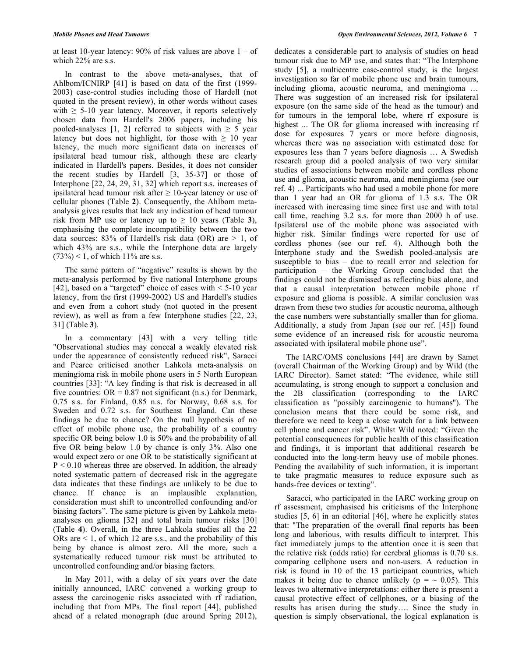at least 10-year latency:  $90\%$  of risk values are above  $1 - of$ which 22% are s.s.

 In contrast to the above meta-analyses, that of Ahlbom/ICNIRP [41] is based on data of the first (1999- 2003) case-control studies including those of Hardell (not quoted in the present review), in other words without cases with  $\geq$  5-10 year latency. Moreover, it reports selectively chosen data from Hardell's 2006 papers, including his pooled-analyses [1, 2] referred to subjects with  $\geq$  5 year latency but does not highlight, for those with  $\geq 10$  year latency, the much more significant data on increases of ipsilateral head tumour risk, although these are clearly indicated in Hardell's papers. Besides, it does not consider the recent studies by Hardell [3, 35-37] or those of Interphone [22, 24, 29, 31, 32] which report s.s. increases of ipsilateral head tumour risk after  $\geq 10$ -year latency or use of cellular phones (Table **2**). Consequently, the Ahlbom metaanalysis gives results that lack any indication of head tumour risk from MP use or latency up to  $\geq 10$  years (Table 3), emphasising the complete incompatibility between the two data sources:  $83\%$  of Hardell's risk data (OR) are  $> 1$ , of which 43% are s.s., while the Interphone data are largely  $(73\%)$  < 1, of which 11% are s.s.

 The same pattern of "negative" results is shown by the meta-analysis performed by five national Interphone groups [42], based on a "targeted" choice of cases with  $\le$  5-10 year latency, from the first (1999-2002) US and Hardell's studies and even from a cohort study (not quoted in the present review), as well as from a few Interphone studies [22, 23, 31] (Table **3**).

 In a commentary [43] with a very telling title "Observational studies may conceal a weakly elevated risk under the appearance of consistently reduced risk", Saracci and Pearce criticised another Lahkola meta-analysis on meningioma risk in mobile phone users in 5 North European countries [33]: "A key finding is that risk is decreased in all five countries:  $OR = 0.87$  not significant (n.s.) for Denmark, 0.75 s.s. for Finland, 0.85 n.s. for Norway, 0.68 s.s. for Sweden and 0.72 s.s. for Southeast England. Can these findings be due to chance? On the null hypothesis of no effect of mobile phone use, the probability of a country specific OR being below 1.0 is 50% and the probability of all five OR being below 1.0 by chance is only 3%. Also one would expect zero or one OR to be statistically significant at  $P < 0.10$  whereas three are observed. In addition, the already noted systematic pattern of decreased risk in the aggregate data indicates that these findings are unlikely to be due to chance. If chance is an implausible explanation, consideration must shift to uncontrolled confounding and/or biasing factors". The same picture is given by Lahkola metaanalyses on glioma [32] and total brain tumour risks [30] (Table **4**). Overall, in the three Lahkola studies all the 22 ORs are  $\leq 1$ , of which 12 are s.s., and the probability of this being by chance is almost zero. All the more, such a systematically reduced tumour risk must be attributed to uncontrolled confounding and/or biasing factors.

 In May 2011, with a delay of six years over the date initially announced, IARC convened a working group to assess the carcinogenic risks associated with rf radiation, including that from MPs. The final report [44], published ahead of a related monograph (due around Spring 2012), dedicates a considerable part to analysis of studies on head tumour risk due to MP use, and states that: "The Interphone study [5], a multicentre case-control study, is the largest investigation so far of mobile phone use and brain tumours, including glioma, acoustic neuroma, and meningioma … There was suggestion of an increased risk for ipsilateral exposure (on the same side of the head as the tumour) and for tumours in the temporal lobe, where rf exposure is highest ... The OR for glioma increased with increasing rf dose for exposures 7 years or more before diagnosis, whereas there was no association with estimated dose for exposures less than 7 years before diagnosis … A Swedish research group did a pooled analysis of two very similar studies of associations between mobile and cordless phone use and glioma, acoustic neuroma, and meningioma (see our ref. 4) ... Participants who had used a mobile phone for more than 1 year had an OR for glioma of 1.3 s.s. The OR increased with increasing time since first use and with total call time, reaching 3.2 s.s. for more than 2000 h of use. Ipsilateral use of the mobile phone was associated with higher risk. Similar findings were reported for use of cordless phones (see our ref. 4). Although both the Interphone study and the Swedish pooled-analysis are susceptible to bias – due to recall error and selection for participation – the Working Group concluded that the findings could not be dismissed as reflecting bias alone, and that a causal interpretation between mobile phone rf exposure and glioma is possible. A similar conclusion was drawn from these two studies for acoustic neuroma, although the case numbers were substantially smaller than for glioma. Additionally, a study from Japan (see our ref. [45]) found some evidence of an increased risk for acoustic neuroma associated with ipsilateral mobile phone use".

 The IARC/OMS conclusions [44] are drawn by Samet (overall Chairman of the Working Group) and by Wild (the IARC Director). Samet stated: "The evidence, while still accumulating, is strong enough to support a conclusion and the 2B classification (corresponding to the IARC classification as "possibly carcinogenic to humans"). The conclusion means that there could be some risk, and therefore we need to keep a close watch for a link between cell phone and cancer risk". Whilst Wild noted: "Given the potential consequences for public health of this classification and findings, it is important that additional research be conducted into the long-term heavy use of mobile phones. Pending the availability of such information, it is important to take pragmatic measures to reduce exposure such as hands-free devices or texting".

 Saracci, who participated in the IARC working group on rf assessment, emphasised his criticisms of the Interphone studies [5, 6] in an editorial [46], where he explicitly states that: "The preparation of the overall final reports has been long and laborious, with results difficult to interpret. This fact immediately jumps to the attention once it is seen that the relative risk (odds ratio) for cerebral gliomas is 0.70 s.s. comparing cellphone users and non-users. A reduction in risk is found in 10 of the 13 participant countries, which makes it being due to chance unlikely ( $p = \sim 0.05$ ). This leaves two alternative interpretations: either there is present a causal protective effect of cellphones, or a biasing of the results has arisen during the study…. Since the study in question is simply observational, the logical explanation is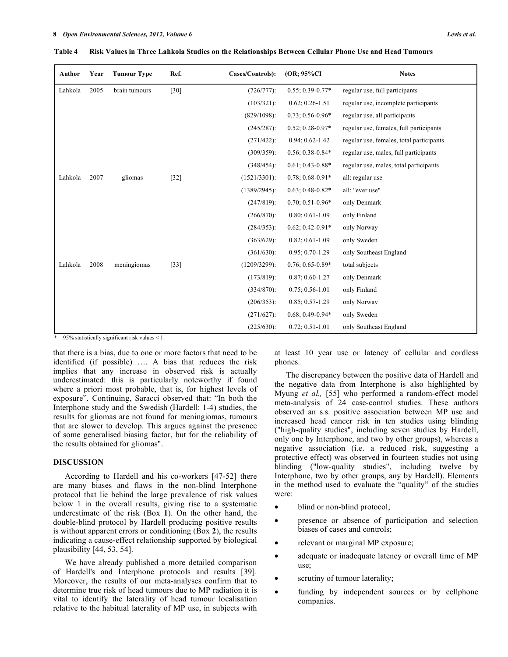| Author  | Year | <b>Tumour Type</b> | Ref.   | Cases/Controls): | (OR; 95%CI)          | <b>Notes</b>                             |
|---------|------|--------------------|--------|------------------|----------------------|------------------------------------------|
| Lahkola | 2005 | brain tumours      | $[30]$ | $(726/777)$ :    | $0.55; 0.39 - 0.77*$ | regular use, full participants           |
|         |      |                    |        | $(103/321)$ :    | $0.62; 0.26 - 1.51$  | regular use, incomplete participants     |
|         |      |                    |        | $(829/1098)$ :   | $0.73; 0.56 - 0.96*$ | regular use, all participants            |
|         |      |                    |        | $(245/287)$ :    | $0.52; 0.28 - 0.97*$ | regular use, females, full participants  |
|         |      |                    |        | $(271/422)$ :    | $0.94; 0.62 - 1.42$  | regular use, females, total participants |
|         |      |                    |        | $(309/359)$ :    | $0.56; 0.38 - 0.84*$ | regular use, males, full participants    |
|         |      |                    |        | $(348/454)$ :    | $0.61; 0.43 - 0.88*$ | regular use, males, total participants   |
| Lahkola | 2007 | gliomas            | $[32]$ | $(1521/3301)$ :  | $0.78; 0.68 - 0.91*$ | all: regular use                         |
|         |      |                    |        | $(1389/2945)$ :  | $0.63; 0.48 - 0.82*$ | all: "ever use"                          |
|         |      |                    |        | $(247/819)$ :    | $0.70; 0.51 - 0.96*$ | only Denmark                             |
|         |      |                    |        | $(266/870)$ :    | $0.80; 0.61 - 1.09$  | only Finland                             |
|         |      |                    |        | $(284/353)$ :    | $0.62; 0.42 - 0.91*$ | only Norway                              |
|         |      |                    |        | $(363/629)$ :    | $0.82; 0.61 - 1.09$  | only Sweden                              |
|         |      |                    |        | $(361/630)$ :    | $0.95; 0.70 - 1.29$  | only Southeast England                   |
| Lahkola | 2008 | meningiomas        | $[33]$ | $(1209/3299)$ :  | $0.76; 0.65 - 0.89*$ | total subjects                           |
|         |      |                    |        | $(173/819)$ :    | $0.87; 0.60 - 1.27$  | only Denmark                             |
|         |      |                    |        | $(334/870)$ :    | $0.75; 0.56 - 1.01$  | only Finland                             |
|         |      |                    |        | $(206/353)$ :    | $0.85; 0.57-1.29$    | only Norway                              |
|         |      |                    |        | $(271/627)$ :    | $0.68; 0.49 - 0.94*$ | only Sweden                              |
|         |      |                    |        | $(225/630)$ :    | $0.72; 0.51 - 1.01$  | only Southeast England                   |

**Table 4 Risk Values in Three Lahkola Studies on the Relationships Between Cellular Phone Use and Head Tumours** 

 $* = 95\%$  statistically significant risk values < 1.

that there is a bias, due to one or more factors that need to be identified (if possible) …. A bias that reduces the risk implies that any increase in observed risk is actually underestimated: this is particularly noteworthy if found where a priori most probable, that is, for highest levels of exposure". Continuing, Saracci observed that: "In both the Interphone study and the Swedish (Hardell: 1-4) studies, the results for gliomas are not found for meningiomas, tumours that are slower to develop. This argues against the presence of some generalised biasing factor, but for the reliability of the results obtained for gliomas".

#### **DISCUSSION**

 According to Hardell and his co-workers [47-52] there are many biases and flaws in the non-blind Interphone protocol that lie behind the large prevalence of risk values below 1 in the overall results, giving rise to a systematic underestimate of the risk (Box **1**). On the other hand, the double-blind protocol by Hardell producing positive results is without apparent errors or conditioning (Box **2**), the results indicating a cause-effect relationship supported by biological plausibility [44, 53, 54].

 We have already published a more detailed comparison of Hardell's and Interphone protocols and results [39]. Moreover, the results of our meta-analyses confirm that to determine true risk of head tumours due to MP radiation it is vital to identify the laterality of head tumour localisation relative to the habitual laterality of MP use, in subjects with

at least 10 year use or latency of cellular and cordless phones.

 The discrepancy between the positive data of Hardell and the negative data from Interphone is also highlighted by Myung *et al.,* [55] who performed a random-effect model meta-analysis of 24 case-control studies. These authors observed an s.s. positive association between MP use and increased head cancer risk in ten studies using blinding ("high-quality studies", including seven studies by Hardell, only one by Interphone, and two by other groups), whereas a negative association (i.e. a reduced risk, suggesting a protective effect) was observed in fourteen studies not using blinding ("low-quality studies", including twelve by Interphone, two by other groups, any by Hardell). Elements in the method used to evaluate the "quality" of the studies were:

- blind or non-blind protocol;
- presence or absence of participation and selection biases of cases and controls;
- relevant or marginal MP exposure;
- adequate or inadequate latency or overall time of MP use;
- scrutiny of tumour laterality;
- funding by independent sources or by cellphone companies.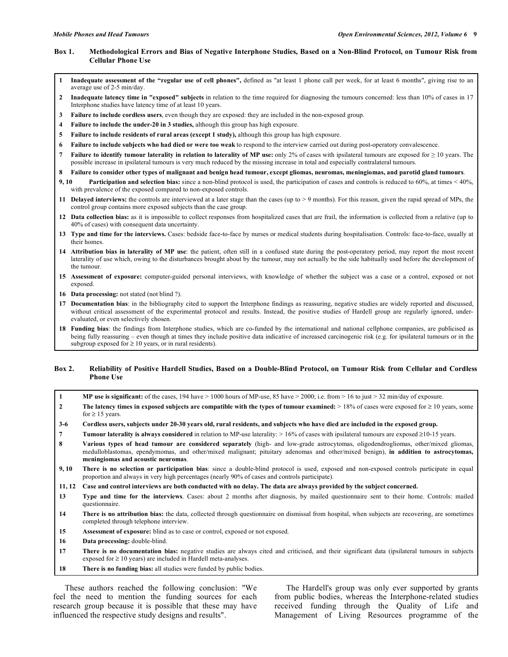## **Box 1. Methodological Errors and Bias of Negative Interphone Studies, Based on a Non-Blind Protocol, on Tumour Risk from Cellular Phone Use**

- **1 Inadequate assessment of the "regular use of cell phones",** defined as "at least 1 phone call per week, for at least 6 months", giving rise to an average use of 2-5 min/day.
- **2 Inadequate latency time in "exposed" subjects** in relation to the time required for diagnosing the tumours concerned: less than 10% of cases in 17 Interphone studies have latency time of at least 10 years.
- **3 Failure to include cordless users**, even though they are exposed: they are included in the non-exposed group.
- **4 Failure to include the under-20 in 3 studies,** although this group has high exposure.
- **5 Failure to include residents of rural areas (except 1 study),** although this group has high exposure.
- **6 Failure to include subjects who had died or were too weak** to respond to the interview carried out during post-operatory convalescence.
- **7** Failure to identify tumour laterality in relation to laterality of MP use: only 2% of cases with ipsilateral tumours are exposed for ≥ 10 years. The possible increase in ipsilateral tumours is very much reduced by the missing increase in total and especially contralateral tumours.
- **8 Failure to consider other types of malignant and benign head tumour, except gliomas, neuromas, meningiomas, and parotid gland tumours**.
- **9, 10 Participation and selection bias:** since a non-blind protocol is used, the participation of cases and controls is reduced to 60%, at times < 40%, with prevalence of the exposed compared to non-exposed controls.
- **11 Delayed interviews:** the controls are interviewed at a later stage than the cases (up to > 9 months). For this reason, given the rapid spread of MPs, the control group contains more exposed subjects than the case group.
- **12 Data collection bias:** as it is impossible to collect responses from hospitalized cases that are frail, the information is collected from a relative (up to 40% of cases) with consequent data uncertainty.
- **13 Type and time for the interviews.** Cases: bedside face-to-face by nurses or medical students during hospitalisation. Controls: face-to-face, usually at their homes.
- **14 Attribution bias in laterality of MP use**: the patient, often still in a confused state during the post-operatory period, may report the most recent laterality of use which, owing to the disturbances brought about by the tumour, may not actually be the side habitually used before the development of the tumour.
- **15 Assessment of exposure:** computer-guided personal interviews, with knowledge of whether the subject was a case or a control, exposed or not exposed.
- **16 Data processing:** not stated (not blind ?).
- **17 Documentation bias**: in the bibliography cited to support the Interphone findings as reassuring, negative studies are widely reported and discussed, without critical assessment of the experimental protocol and results. Instead, the positive studies of Hardell group are regularly ignored, underevaluated, or even selectively chosen.
- **18 Funding bias**: the findings from Interphone studies, which are co-funded by the international and national cellphone companies, are publicised as being fully reassuring – even though at times they include positive data indicative of increased carcinogenic risk (e.g. for ipsilateral tumours or in the subgroup exposed for  $\geq 10$  years, or in rural residents).

### **Box 2. Reliability of Positive Hardell Studies, Based on a Double-Blind Protocol, on Tumour Risk from Cellular and Cordless Phone Use**

- **1 MP use is significant:** of the cases, 194 have > 1000 hours of MP-use, 85 have > 2000; i.e. from > 16 to just > 32 min/day of exposure.
- **2** The latency times in exposed subjects are compatible with the types of tumour examined: > 18% of cases were exposed for ≥ 10 years, some for  $\geq 15$  years.
- **3-6 Cordless users, subjects under 20-30 years old, rural residents, and subjects who have died are included in the exposed group.**
- **7 Tumour laterality is always considered** in relation to MP-use laterality:  $> 16\%$  of cases with ipsilateral tumours are exposed  $\geq 10-15$  years.
- **8 Various types of head tumour are considered separately** (high- and low-grade astrocytomas, oligodendrogliomas, other/mixed gliomas, medulloblastomas, ependymomas, and other/mixed malignant; pituitary adenomas and other/mixed benign), **in addition to astrocytomas, meningiomas and acoustic neuromas**.
- **9, 10 There is no selection or participation bias**: since a double-blind protocol is used, exposed and non-exposed controls participate in equal proportion and always in very high percentages (nearly 90% of cases and controls participate).
- **11, 12 Case and control interviews are both conducted with no delay. The data are always provided by the subject concerned.**
- **13 Type and time for the interviews**. Cases: about 2 months after diagnosis, by mailed questionnaire sent to their home. Controls: mailed questionnaire.
- **14 There is no attribution bias:** the data, collected through questionnaire on dismissal from hospital, when subjects are recovering, are sometimes completed through telephone interview.
- **15 Assessment of exposure:** blind as to case or control, exposed or not exposed.
- 16 Data processing: double-blind.
- **17 There is no documentation bias:** negative studies are always cited and criticised, and their significant data (ipsilateral tumours in subjects exposed for  $\geq 10$  years) are included in Hardell meta-analyses.
- **18 There is no funding bias:** all studies were funded by public bodies.

 These authors reached the following conclusion: "We feel the need to mention the funding sources for each research group because it is possible that these may have influenced the respective study designs and results".

 The Hardell's group was only ever supported by grants from public bodies, whereas the Interphone-related studies received funding through the Quality of Life and Management of Living Resources programme of the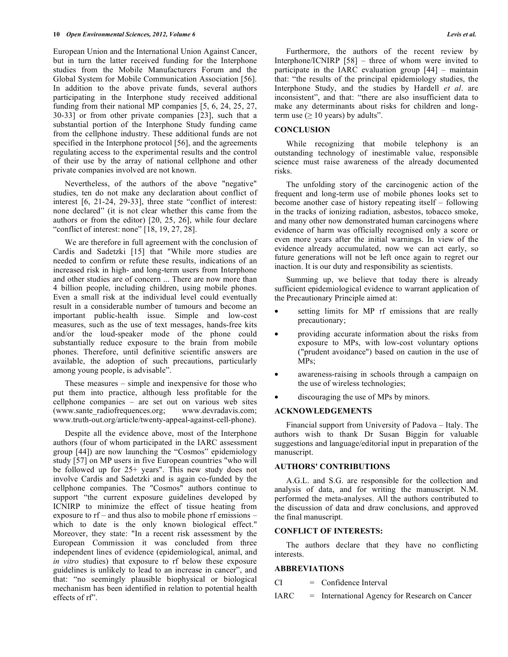European Union and the International Union Against Cancer, but in turn the latter received funding for the Interphone studies from the Mobile Manufacturers Forum and the Global System for Mobile Communication Association [56]. In addition to the above private funds, several authors participating in the Interphone study received additional funding from their national MP companies [5, 6, 24, 25, 27, 30-33] or from other private companies [23], such that a substantial portion of the Interphone Study funding came from the cellphone industry. These additional funds are not specified in the Interphone protocol [56], and the agreements regulating access to the experimental results and the control of their use by the array of national cellphone and other private companies involved are not known.

 Nevertheless, of the authors of the above "negative" studies, ten do not make any declaration about conflict of interest [6, 21-24, 29-33], three state "conflict of interest: none declared" (it is not clear whether this came from the authors or from the editor) [20, 25, 26], while four declare "conflict of interest: none" [18, 19, 27, 28].

 We are therefore in full agreement with the conclusion of Cardis and Sadetzki [15] that "While more studies are needed to confirm or refute these results, indications of an increased risk in high- and long-term users from Interphone and other studies are of concern ... There are now more than 4 billion people, including children, using mobile phones. Even a small risk at the individual level could eventually result in a considerable number of tumours and become an important public-health issue. Simple and low-cost measures, such as the use of text messages, hands-free kits and/or the loud-speaker mode of the phone could substantially reduce exposure to the brain from mobile phones. Therefore, until definitive scientific answers are available, the adoption of such precautions, particularly among young people, is advisable".

 These measures – simple and inexpensive for those who put them into practice, although less profitable for the cellphone companies – are set out on various web sites (www.sante\_radiofrequences.org; www.devradavis.com; www.truth-out.org/article/twenty-appeal-against-cell-phone).

 Despite all the evidence above, most of the Interphone authors (four of whom participated in the IARC assessment group [44]) are now launching the "Cosmos" epidemiology study [57] on MP users in five European countries "who will be followed up for 25+ years". This new study does not involve Cardis and Sadetzki and is again co-funded by the cellphone companies. The "Cosmos" authors continue to support "the current exposure guidelines developed by ICNIRP to minimize the effect of tissue heating from exposure to rf – and thus also to mobile phone rf emissions – which to date is the only known biological effect." Moreover, they state: "In a recent risk assessment by the European Commission it was concluded from three independent lines of evidence (epidemiological, animal, and *in vitro* studies) that exposure to rf below these exposure guidelines is unlikely to lead to an increase in cancer", and that: "no seemingly plausible biophysical or biological mechanism has been identified in relation to potential health effects of rf".

 Furthermore, the authors of the recent review by Interphone/ICNIRP [58] – three of whom were invited to participate in the IARC evaluation group [44] – maintain that: "the results of the principal epidemiology studies, the Interphone Study, and the studies by Hardell *et al*. are inconsistent", and that: "there are also insufficient data to make any determinants about risks for children and longterm use  $( \geq 10 \text{ years})$  by adults".

#### **CONCLUSION**

 While recognizing that mobile telephony is an outstanding technology of inestimable value, responsible science must raise awareness of the already documented risks.

 The unfolding story of the carcinogenic action of the frequent and long-term use of mobile phones looks set to become another case of history repeating itself – following in the tracks of ionizing radiation, asbestos, tobacco smoke, and many other now demonstrated human carcinogens where evidence of harm was officially recognised only a score or even more years after the initial warnings. In view of the evidence already accumulated, now we can act early, so future generations will not be left once again to regret our inaction. It is our duty and responsibility as scientists.

 Summing up, we believe that today there is already sufficient epidemiological evidence to warrant application of the Precautionary Principle aimed at:

- setting limits for MP rf emissions that are really precautionary;
- providing accurate information about the risks from exposure to MPs, with low-cost voluntary options ("prudent avoidance") based on caution in the use of MPs;
- awareness-raising in schools through a campaign on the use of wireless technologies;
- discouraging the use of MPs by minors.

## **ACKNOWLEDGEMENTS**

 Financial support from University of Padova – Italy. The authors wish to thank Dr Susan Biggin for valuable suggestions and language/editorial input in preparation of the manuscript.

#### **AUTHORS' CONTRIBUTIONS**

 A.G.L. and S.G. are responsible for the collection and analysis of data, and for writing the manuscript. N.M. performed the meta-analyses. All the authors contributed to the discussion of data and draw conclusions, and approved the final manuscript.

### **CONFLICT OF INTERESTS:**

 The authors declare that they have no conflicting interests.

# **ABBREVIATIONS**

CI = Confidence Interval

IARC = International Agency for Research on Cancer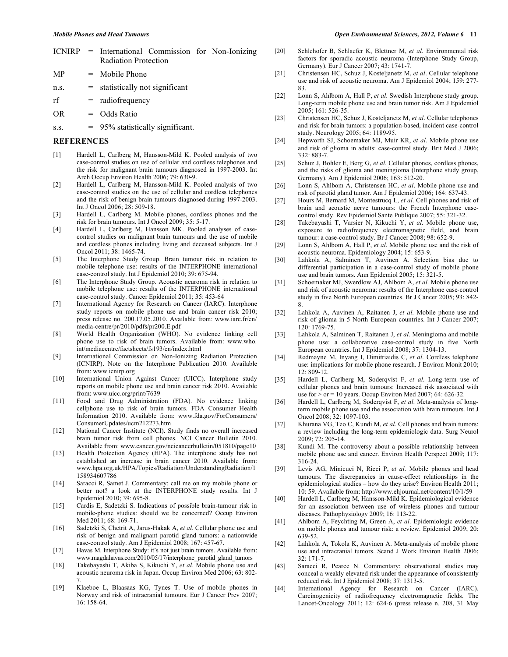|  |                             |  | ICNIRP = International Commission for Non-Ionizing |
|--|-----------------------------|--|----------------------------------------------------|
|  | <b>Radiation Protection</b> |  |                                                    |

- $MP = Mobile Phone$ n.s. = statistically not significant
- rf = radiofrequency

OR = Odds Ratio

s.s.  $= 95\%$  statistically significant.

#### **REFERENCES**

- [1] Hardell L, Carlberg M, Hansson-Mild K. Pooled analysis of two case-control studies on use of cellular and cordless telephones and the risk for malignant brain tumours diagnosed in 1997-2003. Int Arch Occup Environ Health 2006; 79: 630-9.
- [2] Hardell L, Carlberg M, Hansson-Mild K. Pooled analysis of two case-control studies on the use of cellular and cordless telephones and the risk of benign brain tumours diagnosed during 1997-2003. Int J Oncol 2006; 28: 509-18.
- [3] Hardell L, Carlberg M. Mobile phones, cordless phones and the risk for brain tumours. Int J Oncol 2009; 35: 5-17.
- [4] Hardell L, Carlberg M, Hansson MK. Pooled analyses of casecontrol studies on malignant brain tumours and the use of mobile and cordless phones including living and deceased subjects. Int J Oncol 2011; 38: 1465-74.
- [5] The Interphone Study Group. Brain tumour risk in relation to mobile telephone use: results of the INTERPHONE international case-control study. Int J Epidemiol 2010; 39: 675-94.
- [6] The Interphone Study Group. Acoustic neuroma risk in relation to mobile telephone use: results of the INTERPHONE international case-control study. Cancer Epidemiol 2011; 35: 453-64
- [7] International Agency for Research on Cancer (IARC). Interphone study reports on mobile phone use and brain cancer risk 2010; press release no. 200.17.05.2010. Available from: www.iarc.fr/en/ media-centre/pr/2010/pdfs/pr200.E.pdf
- [8] World Health Organization (WHO). No evidence linking cell phone use to risk of brain tumors. Available from: www.who. int/mediacentre/factsheets/fs193/en/index.html
- [9] International Commission on Non-Ionizing Radiation Protection (ICNIRP). Note on the Interphone Publication 2010. Available from: www.icnirp.org
- [10] International Union Against Cancer (UICC). Interphone study reports on mobile phone use and brain cancer risk 2010. Available from: www.uicc.org/print/7639
- [11] Food and Drug Administration (FDA). No evidence linking cellphone use to risk of brain tumors. FDA Consumer Health Information 2010. Available from: www.fda.gov/ForConsumers/ ConsumerUpdates/ucm212273.htm
- [12] National Cancer Institute (NCI). Study finds no overall increased brain tumor risk from cell phones. NCI Cancer Bulletin 2010. Available from: www.cancer.gov/ncicancerbulletin/051810/page10
- [13] Health Protection Agency (HPA). The interphone study has not established an increase in brain cancer 2010. Available from: www.hpa.org.uk/HPA/Topics/Radiation/UnderstandingRadiation/1 158934607786
- [14] Saracci R, Samet J. Commentary: call me on my mobile phone or better not? a look at the INTERPHONE study results. Int J Epidemiol 2010; 39: 695-8.
- [15] Cardis E, Sadetzki S. Indications of possible brain-tumour risk in mobile-phone studies: should we be concerned? Occup Environ Med 2011; 68: 169-71.
- [16] Sadetzki S, Chetrit A, Jarus-Hakak A, *et al*. Cellular phone use and risk of benign and malignant parotid gland tumors: a nationwide case-control study. Am J Epidemiol 2008; 167: 457-67.
- [17] Havas M. Interphone Study: it's not just brain tumors. Available from: www.magdahavas.com/2010/05/17/interphone\_parotid\_gland\_tumors
- [18] Takebayashi T, Akiba S, Kikuchi Y, *et al.* Mobile phone use and acoustic neuroma risk in Japan. Occup Environ Med 2006; 63: 802- 7.
- [19] Klaeboe L, Blaasaas KG, Tynes T. Use of mobile phones in Norway and risk of intracranial tumours. Eur J Cancer Prev 2007; 16: 158-64.
- [20] Schlehofer B, Schlaefer K, Blettner M, *et al*. Environmental risk factors for sporadic acoustic neuroma (Interphone Study Group, Germany). Eur J Cancer 2007; 43: 1741-7.
- [21] Christensen HC, Schuz J, Kosteljanetz M, *et al*. Cellular telephone use and risk of acoustic neuroma. Am J Epidemiol 2004; 159: 277- 83.
- [22] Lonn S, Ahlbom A, Hall P, *et al*. Swedish Interphone study group. Long-term mobile phone use and brain tumor risk. Am J Epidemiol 2005; 161: 526-35.
- [23] Christensen HC, Schuz J, Kosteljanetz M, *et al*. Cellular telephones and risk for brain tumors: a population-based, incident case-control study. Neurology 2005; 64: 1189-95.
- [24] Hepworth SJ, Schoemaker MJ, Muir KR, *et al*. Mobile phone use and risk of glioma in adults: case-control study. Brit Med J 2006; 332: 883-7.
- [25] Schuz J, Bohler E, Berg G, *et al*. Cellular phones, cordless phones, and the risks of glioma and meningioma (Interphone study group, Germany). Am J Epidemiol 2006; 163: 512-20.
- [26] Lonn S, Ahlbom A, Christensen HC, *et al*. Mobile phone use and risk of parotid gland tumor. Am J Epidemiol 2006; 164: 637-43.
- [27] Hours M, Bernard M, Montestrucq L, *et al*. Cell phones and risk of brain and acoustic nerve tumours: the French Interphone casecontrol study. Rev Epidemiol Sante Publique 2007; 55: 321-32.
- [28] Takebayashi T, Varsier N, Kikuchi Y, *et al*. Mobile phone use, exposure to radiofrequency electromagnetic field, and brain tumour: a case-control study. Br J Cancer 2008; 98: 652-9.
- [29] Lonn S, Ahlbom A, Hall P, *et al*. Mobile phone use and the risk of acoustic neuroma. Epidemiology 2004; 15: 653-9.
- [30] Lahkola A, Salminen T, Auvinen A. Selection bias due to differential participation in a case-control study of mobile phone use and brain tumors. Ann Epidemiol 2005; 15: 321-5.
- [31] Schoemaker MJ, Swerdlow AJ, Ahlbom A, *et al*. Mobile phone use and risk of acoustic neuroma: results of the Interphone case-control study in five North European countries. Br J Cancer 2005; 93: 842- 8.
- [32] Lahkola A, Auvinen A, Raitanen J, *et al*. Mobile phone use and risk of glioma in 5 North European countries. Int J Cancer 2007; 120: 1769-75.
- [33] Lahkola A, Salminen T, Raitanen J, *et al*. Meningioma and mobile phone use: a collaborative case-control study in five North European countries. Int J Epidemiol 2008; 37: 1304-13.
- [34] Redmayne M, Inyang I, Dimitriaidis C, *et al*. Cordless telephone use: implications for mobile phone research. J Environ Monit 2010; 12: 809-12.
- [35] Hardell L, Carlberg M, Soderqvist F, *et al*. Long-term use of cellular phones and brain tumours: Increased risk associated with use for  $>$  or  $=$  10 years. Occup Environ Med 2007; 64: 626-32.
- [36] Hardell L, Carlberg M, Soderqvist F, *et al*. Meta-analysis of longterm mobile phone use and the association with brain tumours. Int J Oncol 2008; 32: 1097-103.
- [37] Khurana VG, Teo C, Kundi M, *et al*. Cell phones and brain tumors: a review including the long-term epidemiologic data. Surg Neurol 2009; 72: 205-14.
- [38] Kundi M. The controversy about a possible relationship between mobile phone use and cancer. Environ Health Perspect 2009; 117: 316-24.
- [39] Levis AG, Minicuci N, Ricci P, *et al*. Mobile phones and head tumours. The discrepancies in cause-effect relationships in the epidemiological studies – how do they arise? Environ Health 2011; 10: 59. Available from: http://www.ehjournal.net/content/10/1/59
- [40] Hardell L, Carlberg M, Hansson-Mild K. Epidemiological evidence for an association between use of wireless phones and tumour diseases. Pathophysiology 2009; 16: 113-22.
- [41] Ahlbom A, Feychting M, Green A, *et al*. Epidemiologic evidence on mobile phones and tumour risk: a review. Epidemiol 2009; 20: 639-52.
- [42] Lahkola A, Tokola K, Auvinen A. Meta-analysis of mobile phone use and intracranial tumors. Scand J Work Environ Health 2006; 32: 171-7.
- [43] Saracci R, Pearce N. Commentary: observational studies may conceal a weakly elevated risk under the appearance of consistently reduced risk. Int J Epidemiol 2008; 37: 1313-5.
- [44] International Agency for Research on Cancer (IARC). Carcinogenicity of radiofrequency electromagnetic fields. The Lancet-Oncology 2011; 12: 624-6 (press release n. 208, 31 May